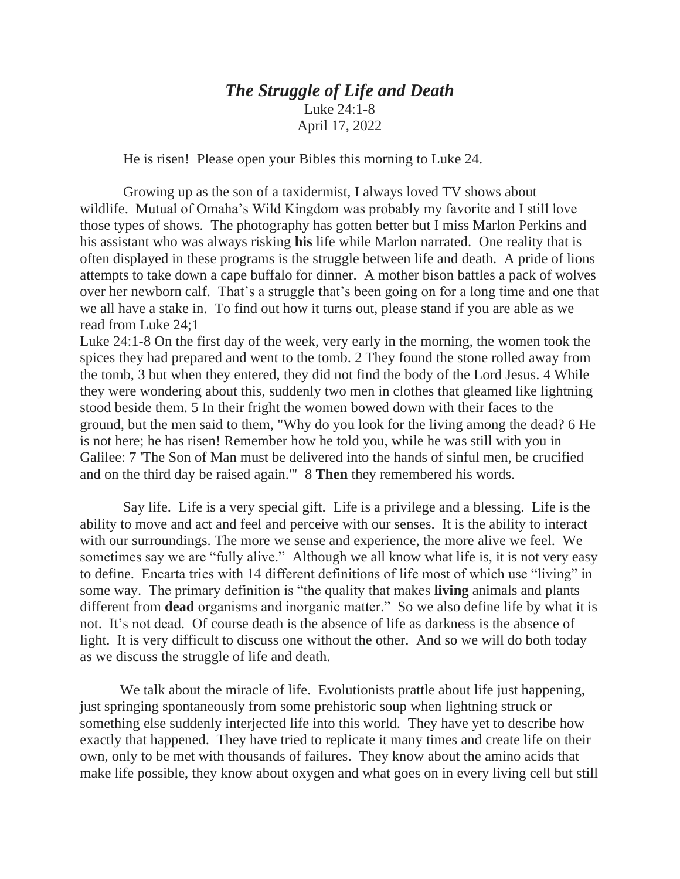## *The Struggle of Life and Death* Luke 24:1-8 April 17, 2022

He is risen! Please open your Bibles this morning to Luke 24.

 Growing up as the son of a taxidermist, I always loved TV shows about wildlife. Mutual of Omaha's Wild Kingdom was probably my favorite and I still love those types of shows. The photography has gotten better but I miss Marlon Perkins and his assistant who was always risking **his** life while Marlon narrated. One reality that is often displayed in these programs is the struggle between life and death. A pride of lions attempts to take down a cape buffalo for dinner. A mother bison battles a pack of wolves over her newborn calf. That's a struggle that's been going on for a long time and one that we all have a stake in. To find out how it turns out, please stand if you are able as we read from Luke 24;1

Luke 24:1-8 On the first day of the week, very early in the morning, the women took the spices they had prepared and went to the tomb. 2 They found the stone rolled away from the tomb, 3 but when they entered, they did not find the body of the Lord Jesus. 4 While they were wondering about this, suddenly two men in clothes that gleamed like lightning stood beside them. 5 In their fright the women bowed down with their faces to the ground, but the men said to them, "Why do you look for the living among the dead? 6 He is not here; he has risen! Remember how he told you, while he was still with you in Galilee: 7 'The Son of Man must be delivered into the hands of sinful men, be crucified and on the third day be raised again.'" 8 **Then** they remembered his words.

 Say life. Life is a very special gift. Life is a privilege and a blessing. Life is the ability to move and act and feel and perceive with our senses. It is the ability to interact with our surroundings. The more we sense and experience, the more alive we feel. We sometimes say we are "fully alive." Although we all know what life is, it is not very easy to define. Encarta tries with 14 different definitions of life most of which use "living" in some way. The primary definition is "the quality that makes **living** animals and plants different from **dead** organisms and inorganic matter." So we also define life by what it is not. It's not dead. Of course death is the absence of life as darkness is the absence of light. It is very difficult to discuss one without the other. And so we will do both today as we discuss the struggle of life and death.

We talk about the miracle of life. Evolutionists prattle about life just happening, just springing spontaneously from some prehistoric soup when lightning struck or something else suddenly interjected life into this world. They have yet to describe how exactly that happened. They have tried to replicate it many times and create life on their own, only to be met with thousands of failures. They know about the amino acids that make life possible, they know about oxygen and what goes on in every living cell but still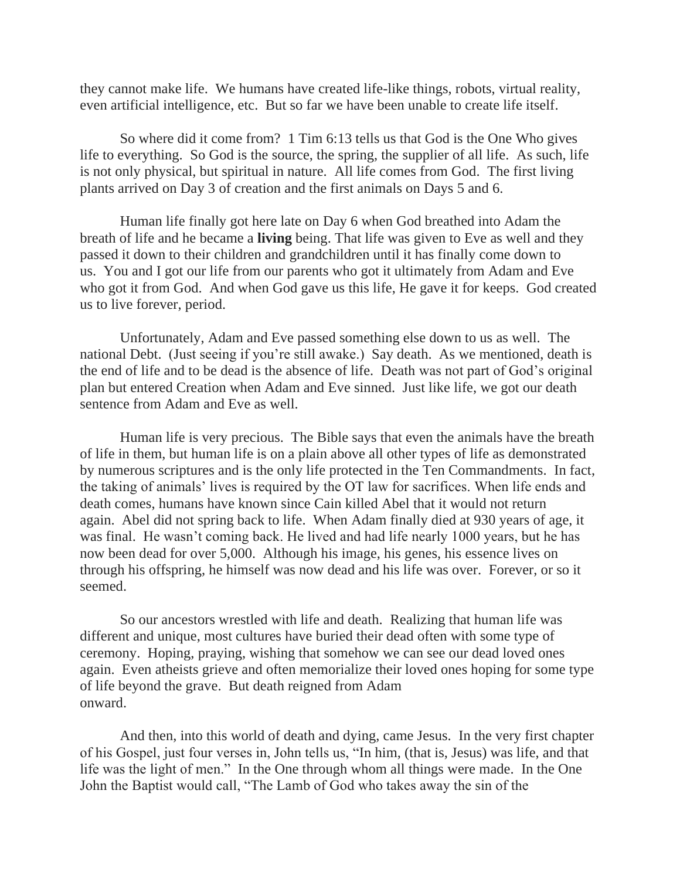they cannot make life. We humans have created life-like things, robots, virtual reality, even artificial intelligence, etc. But so far we have been unable to create life itself.

So where did it come from? 1 Tim 6:13 tells us that God is the One Who gives life to everything. So God is the source, the spring, the supplier of all life. As such, life is not only physical, but spiritual in nature. All life comes from God. The first living plants arrived on Day 3 of creation and the first animals on Days 5 and 6.

Human life finally got here late on Day 6 when God breathed into Adam the breath of life and he became a **living** being. That life was given to Eve as well and they passed it down to their children and grandchildren until it has finally come down to us. You and I got our life from our parents who got it ultimately from Adam and Eve who got it from God. And when God gave us this life, He gave it for keeps. God created us to live forever, period.

Unfortunately, Adam and Eve passed something else down to us as well. The national Debt. (Just seeing if you're still awake.) Say death. As we mentioned, death is the end of life and to be dead is the absence of life. Death was not part of God's original plan but entered Creation when Adam and Eve sinned. Just like life, we got our death sentence from Adam and Eve as well.

Human life is very precious. The Bible says that even the animals have the breath of life in them, but human life is on a plain above all other types of life as demonstrated by numerous scriptures and is the only life protected in the Ten Commandments. In fact, the taking of animals' lives is required by the OT law for sacrifices. When life ends and death comes, humans have known since Cain killed Abel that it would not return again. Abel did not spring back to life. When Adam finally died at 930 years of age, it was final. He wasn't coming back. He lived and had life nearly 1000 years, but he has now been dead for over 5,000. Although his image, his genes, his essence lives on through his offspring, he himself was now dead and his life was over. Forever, or so it seemed.

So our ancestors wrestled with life and death. Realizing that human life was different and unique, most cultures have buried their dead often with some type of ceremony. Hoping, praying, wishing that somehow we can see our dead loved ones again. Even atheists grieve and often memorialize their loved ones hoping for some type of life beyond the grave. But death reigned from Adam onward.

And then, into this world of death and dying, came Jesus. In the very first chapter of his Gospel, just four verses in, John tells us, "In him, (that is, Jesus) was life, and that life was the light of men." In the One through whom all things were made. In the One John the Baptist would call, "The Lamb of God who takes away the sin of the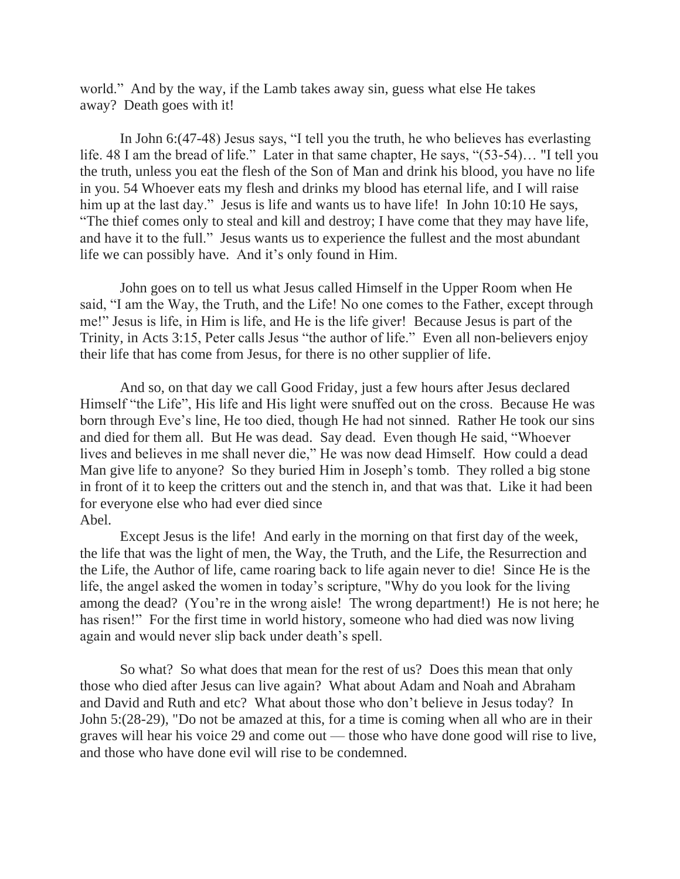world." And by the way, if the Lamb takes away sin, guess what else He takes away? Death goes with it!

In John 6:(47-48) Jesus says, "I tell you the truth, he who believes has everlasting life. 48 I am the bread of life." Later in that same chapter, He says, "(53-54)… "I tell you the truth, unless you eat the flesh of the Son of Man and drink his blood, you have no life in you. 54 Whoever eats my flesh and drinks my blood has eternal life, and I will raise him up at the last day." Jesus is life and wants us to have life! In John 10:10 He says, "The thief comes only to steal and kill and destroy; I have come that they may have life, and have it to the full." Jesus wants us to experience the fullest and the most abundant life we can possibly have. And it's only found in Him.

John goes on to tell us what Jesus called Himself in the Upper Room when He said, "I am the Way, the Truth, and the Life! No one comes to the Father, except through me!" Jesus is life, in Him is life, and He is the life giver! Because Jesus is part of the Trinity, in Acts 3:15, Peter calls Jesus "the author of life." Even all non-believers enjoy their life that has come from Jesus, for there is no other supplier of life.

And so, on that day we call Good Friday, just a few hours after Jesus declared Himself "the Life", His life and His light were snuffed out on the cross. Because He was born through Eve's line, He too died, though He had not sinned. Rather He took our sins and died for them all. But He was dead. Say dead. Even though He said, "Whoever lives and believes in me shall never die," He was now dead Himself. How could a dead Man give life to anyone? So they buried Him in Joseph's tomb. They rolled a big stone in front of it to keep the critters out and the stench in, and that was that. Like it had been for everyone else who had ever died since Abel.

Except Jesus is the life! And early in the morning on that first day of the week, the life that was the light of men, the Way, the Truth, and the Life, the Resurrection and the Life, the Author of life, came roaring back to life again never to die! Since He is the life, the angel asked the women in today's scripture, "Why do you look for the living among the dead? (You're in the wrong aisle! The wrong department!) He is not here; he has risen!" For the first time in world history, someone who had died was now living again and would never slip back under death's spell.

So what? So what does that mean for the rest of us? Does this mean that only those who died after Jesus can live again? What about Adam and Noah and Abraham and David and Ruth and etc? What about those who don't believe in Jesus today? In John 5:(28-29), "Do not be amazed at this, for a time is coming when all who are in their graves will hear his voice 29 and come out — those who have done good will rise to live, and those who have done evil will rise to be condemned.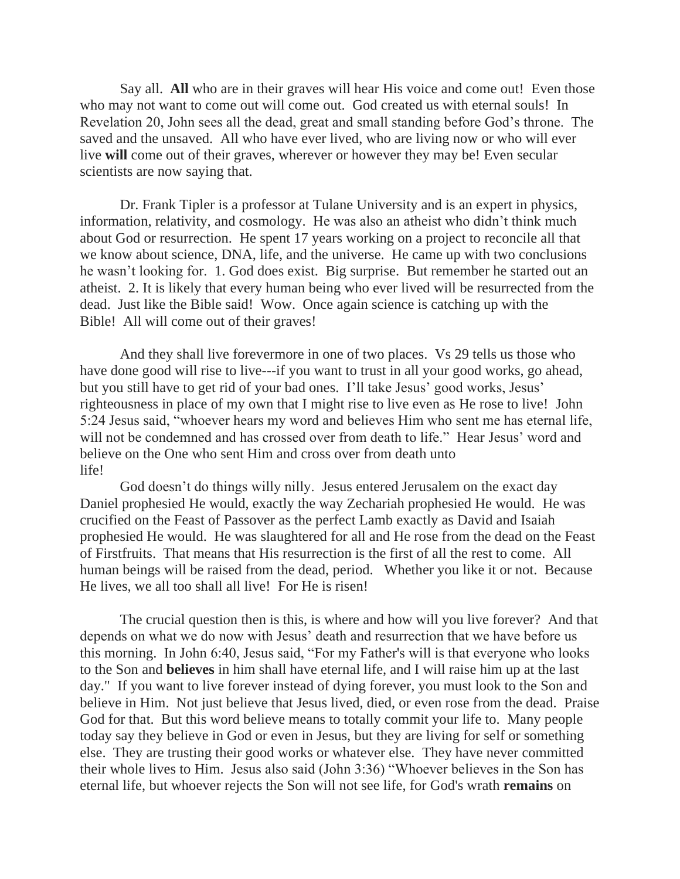Say all. **All** who are in their graves will hear His voice and come out! Even those who may not want to come out will come out. God created us with eternal souls! In Revelation 20, John sees all the dead, great and small standing before God's throne. The saved and the unsaved. All who have ever lived, who are living now or who will ever live **will** come out of their graves, wherever or however they may be! Even secular scientists are now saying that.

Dr. Frank Tipler is a professor at Tulane University and is an expert in physics, information, relativity, and cosmology. He was also an atheist who didn't think much about God or resurrection. He spent 17 years working on a project to reconcile all that we know about science, DNA, life, and the universe. He came up with two conclusions he wasn't looking for. 1. God does exist. Big surprise. But remember he started out an atheist. 2. It is likely that every human being who ever lived will be resurrected from the dead. Just like the Bible said! Wow. Once again science is catching up with the Bible! All will come out of their graves!

And they shall live forevermore in one of two places. Vs 29 tells us those who have done good will rise to live---if you want to trust in all your good works, go ahead, but you still have to get rid of your bad ones. I'll take Jesus' good works, Jesus' righteousness in place of my own that I might rise to live even as He rose to live! John 5:24 Jesus said, "whoever hears my word and believes Him who sent me has eternal life, will not be condemned and has crossed over from death to life." Hear Jesus' word and believe on the One who sent Him and cross over from death unto life!

God doesn't do things willy nilly. Jesus entered Jerusalem on the exact day Daniel prophesied He would, exactly the way Zechariah prophesied He would. He was crucified on the Feast of Passover as the perfect Lamb exactly as David and Isaiah prophesied He would. He was slaughtered for all and He rose from the dead on the Feast of Firstfruits. That means that His resurrection is the first of all the rest to come. All human beings will be raised from the dead, period. Whether you like it or not. Because He lives, we all too shall all live! For He is risen!

The crucial question then is this, is where and how will you live forever? And that depends on what we do now with Jesus' death and resurrection that we have before us this morning. In John 6:40, Jesus said, "For my Father's will is that everyone who looks to the Son and **believes** in him shall have eternal life, and I will raise him up at the last day." If you want to live forever instead of dying forever, you must look to the Son and believe in Him. Not just believe that Jesus lived, died, or even rose from the dead. Praise God for that. But this word believe means to totally commit your life to. Many people today say they believe in God or even in Jesus, but they are living for self or something else. They are trusting their good works or whatever else. They have never committed their whole lives to Him. Jesus also said (John 3:36) "Whoever believes in the Son has eternal life, but whoever rejects the Son will not see life, for God's wrath **remains** on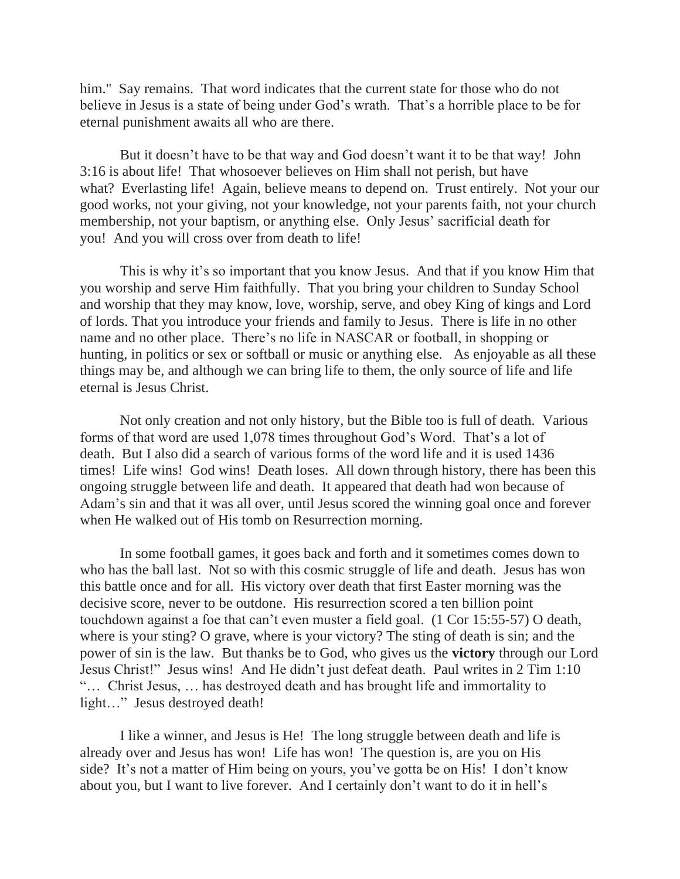him." Say remains. That word indicates that the current state for those who do not believe in Jesus is a state of being under God's wrath. That's a horrible place to be for eternal punishment awaits all who are there.

But it doesn't have to be that way and God doesn't want it to be that way! John 3:16 is about life! That whosoever believes on Him shall not perish, but have what? Everlasting life! Again, believe means to depend on. Trust entirely. Not your our good works, not your giving, not your knowledge, not your parents faith, not your church membership, not your baptism, or anything else. Only Jesus' sacrificial death for you! And you will cross over from death to life!

This is why it's so important that you know Jesus. And that if you know Him that you worship and serve Him faithfully. That you bring your children to Sunday School and worship that they may know, love, worship, serve, and obey King of kings and Lord of lords. That you introduce your friends and family to Jesus. There is life in no other name and no other place. There's no life in NASCAR or football, in shopping or hunting, in politics or sex or softball or music or anything else. As enjoyable as all these things may be, and although we can bring life to them, the only source of life and life eternal is Jesus Christ.

Not only creation and not only history, but the Bible too is full of death. Various forms of that word are used 1,078 times throughout God's Word. That's a lot of death. But I also did a search of various forms of the word life and it is used 1436 times! Life wins! God wins! Death loses. All down through history, there has been this ongoing struggle between life and death. It appeared that death had won because of Adam's sin and that it was all over, until Jesus scored the winning goal once and forever when He walked out of His tomb on Resurrection morning.

In some football games, it goes back and forth and it sometimes comes down to who has the ball last. Not so with this cosmic struggle of life and death. Jesus has won this battle once and for all. His victory over death that first Easter morning was the decisive score, never to be outdone. His resurrection scored a ten billion point touchdown against a foe that can't even muster a field goal. (1 Cor 15:55-57) O death, where is your sting? O grave, where is your victory? The sting of death is sin; and the power of sin is the law. But thanks be to God, who gives us the **victory** through our Lord Jesus Christ!" Jesus wins! And He didn't just defeat death. Paul writes in 2 Tim 1:10 "… Christ Jesus, … has destroyed death and has brought life and immortality to light..." Jesus destroyed death!

I like a winner, and Jesus is He! The long struggle between death and life is already over and Jesus has won! Life has won! The question is, are you on His side? It's not a matter of Him being on yours, you've gotta be on His! I don't know about you, but I want to live forever. And I certainly don't want to do it in hell's